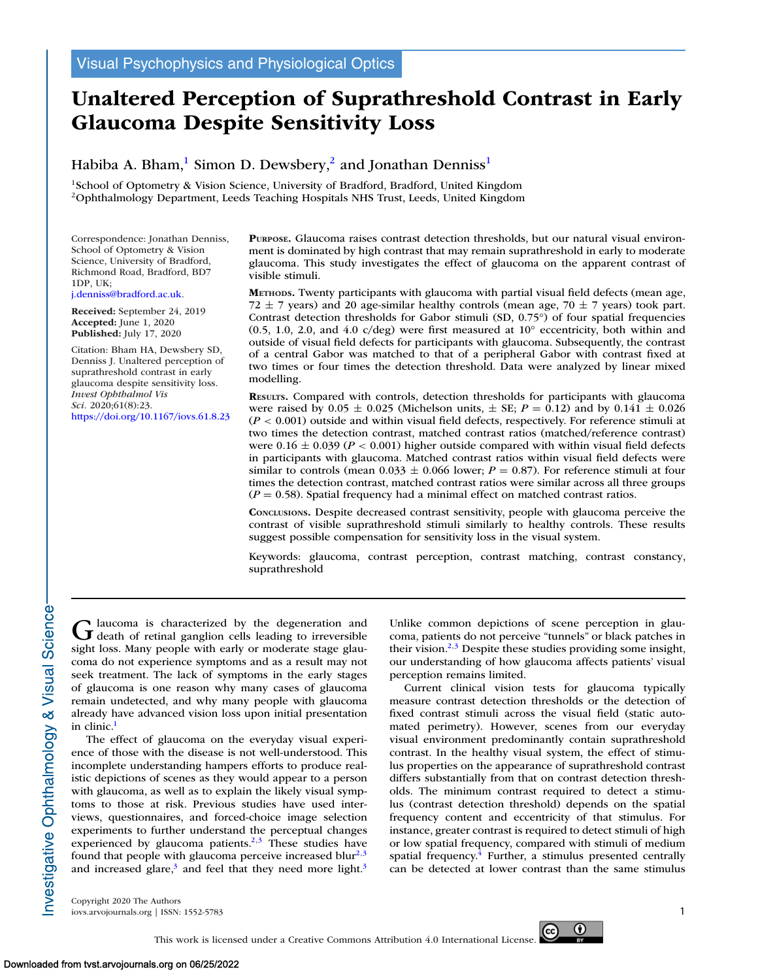# **Unaltered Perception of Suprathreshold Contrast in Early Glaucoma Despite Sensitivity Loss**

# Habiba A. Bham,<sup>1</sup> Simon D. Dewsbery,<sup>2</sup> and Jonathan Denniss<sup>1</sup>

<sup>1</sup>School of Optometry & Vision Science, University of Bradford, Bradford, United Kingdom 2Ophthalmology Department, Leeds Teaching Hospitals NHS Trust, Leeds, United Kingdom

Correspondence: Jonathan Denniss, School of Optometry & Vision Science, University of Bradford, Richmond Road, Bradford, BD7 1DP, UK;

[j.denniss@bradford.ac.uk.](mailto:j.denniss@bradford.ac.uk)

**Received:** September 24, 2019 **Accepted:** June 1, 2020 **Published:** July 17, 2020

Citation: Bham HA, Dewsbery SD, Denniss J. Unaltered perception of suprathreshold contrast in early glaucoma despite sensitivity loss. *Invest Ophthalmol Vis Sci.* 2020;61(8):23. <https://doi.org/10.1167/iovs.61.8.23> **PURPOSE.** Glaucoma raises contrast detection thresholds, but our natural visual environment is dominated by high contrast that may remain suprathreshold in early to moderate glaucoma. This study investigates the effect of glaucoma on the apparent contrast of visible stimuli.

**METHODS.** Twenty participants with glaucoma with partial visual field defects (mean age, 72  $\pm$  7 years) and 20 age-similar healthy controls (mean age, 70  $\pm$  7 years) took part. Contrast detection thresholds for Gabor stimuli (SD, 0.75°) of four spatial frequencies  $(0.5, 1.0, 2.0, \text{ and } 4.0 \text{ c/deg})$  were first measured at  $10^{\circ}$  eccentricity, both within and outside of visual field defects for participants with glaucoma. Subsequently, the contrast of a central Gabor was matched to that of a peripheral Gabor with contrast fixed at two times or four times the detection threshold. Data were analyzed by linear mixed modelling.

**RESULTS.** Compared with controls, detection thresholds for participants with glaucoma were raised by 0.05  $\pm$  0.025 (Michelson units,  $\pm$  SE;  $P = 0.12$ ) and by 0.141  $\pm$  0.026  $(P < 0.001)$  outside and within visual field defects, respectively. For reference stimuli at two times the detection contrast, matched contrast ratios (matched/reference contrast) were  $0.16 \pm 0.039$  ( $P < 0.001$ ) higher outside compared with within visual field defects in participants with glaucoma. Matched contrast ratios within visual field defects were similar to controls (mean  $0.033 \pm 0.066$  lower; *P* = 0.87). For reference stimuli at four times the detection contrast, matched contrast ratios were similar across all three groups  $(P = 0.58)$ . Spatial frequency had a minimal effect on matched contrast ratios.

**CONCLUSIONS.** Despite decreased contrast sensitivity, people with glaucoma perceive the contrast of visible suprathreshold stimuli similarly to healthy controls. These results suggest possible compensation for sensitivity loss in the visual system.

Keywords: glaucoma, contrast perception, contrast matching, contrast constancy, suprathreshold

G laucoma is characterized by the degeneration and<br>
death of retinal ganglion cells leading to irreversible sight loss. Many people with early or moderate stage glaucoma do not experience symptoms and as a result may not seek treatment. The lack of symptoms in the early stages of glaucoma is one reason why many cases of glaucoma remain undetected, and why many people with glaucoma already have advanced vision loss upon initial presentation in clinic.<sup>1</sup>

The effect of glaucoma on the everyday visual experience of those with the disease is not well-understood. This incomplete understanding hampers efforts to produce realistic depictions of scenes as they would appear to a person with glaucoma, as well as to explain the likely visual symptoms to those at risk. Previous studies have used interviews, questionnaires, and forced-choice image selection experiments to further understand the perceptual changes experienced by glaucoma patients. $2,3$  These studies have found that people with glaucoma perceive increased blur<sup>2,3</sup> and increased glare,<sup>3</sup> and feel that they need more light.<sup>3</sup> Unlike common depictions of scene perception in glaucoma, patients do not perceive "tunnels" or black patches in their vision. $2,3$  Despite these studies providing some insight, our understanding of how glaucoma affects patients' visual perception remains limited.

Current clinical vision tests for glaucoma typically measure contrast detection thresholds or the detection of fixed contrast stimuli across the visual field (static automated perimetry). However, scenes from our everyday visual environment predominantly contain suprathreshold contrast. In the healthy visual system, the effect of stimulus properties on the appearance of suprathreshold contrast differs substantially from that on contrast detection thresholds. The minimum contrast required to detect a stimulus (contrast detection threshold) depends on the spatial frequency content and eccentricity of that stimulus. For instance, greater contrast is required to detect stimuli of high or low spatial frequency, compared with stimuli of medium spatial frequency. $4$  Further, a stimulus presented centrally can be detected at lower contrast than the same stimulus

Copyright 2020 The Authors iovs.arvojournals.org | ISSN: 1552-5783 1

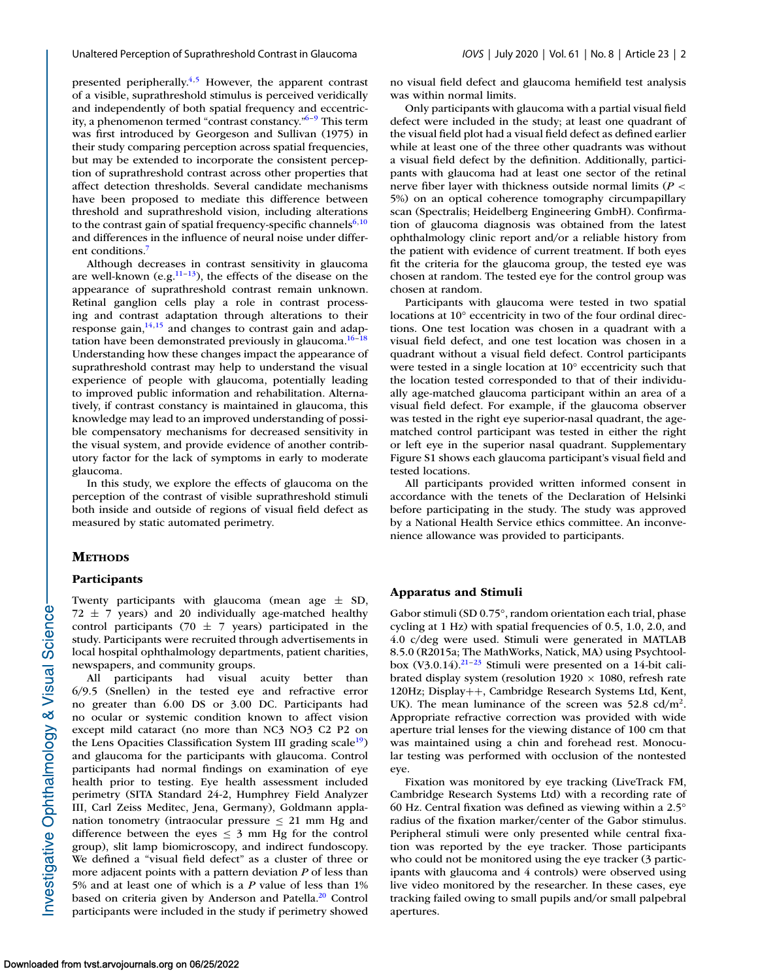presented peripherally.<sup>4,5</sup> However, the apparent contrast of a visible, suprathreshold stimulus is perceived veridically and independently of both spatial frequency and eccentricity, a phenomenon termed "contrast constancy.["6–9](#page-6-0) This term was first introduced by Georgeson and Sullivan (1975) in their study comparing perception across spatial frequencies, but may be extended to incorporate the consistent perception of suprathreshold contrast across other properties that affect detection thresholds. Several candidate mechanisms have been proposed to mediate this difference between threshold and suprathreshold vision, including alterations to the contrast gain of spatial frequency-specific channels $6,10$ and differences in the influence of neural noise under different conditions.<sup>7</sup>

Although decreases in contrast sensitivity in glaucoma are well-known (e.g.  $(11-13)$  $(11-13)$ ), the effects of the disease on the appearance of suprathreshold contrast remain unknown. Retinal ganglion cells play a role in contrast processing and contrast adaptation through alterations to their response gain, $14,15$  and changes to contrast gain and adaptation have been demonstrated previously in glaucoma.<sup>16-18</sup> Understanding how these changes impact the appearance of suprathreshold contrast may help to understand the visual experience of people with glaucoma, potentially leading to improved public information and rehabilitation. Alternatively, if contrast constancy is maintained in glaucoma, this knowledge may lead to an improved understanding of possible compensatory mechanisms for decreased sensitivity in the visual system, and provide evidence of another contributory factor for the lack of symptoms in early to moderate glaucoma.

In this study, we explore the effects of glaucoma on the perception of the contrast of visible suprathreshold stimuli both inside and outside of regions of visual field defect as measured by static automated perimetry.

# **METHODS**

### **Participants**

Twenty participants with glaucoma (mean age  $\pm$  SD, 72 ± 7 years) and 20 individually age-matched healthy control participants (70  $\pm$  7 years) participated in the study. Participants were recruited through advertisements in local hospital ophthalmology departments, patient charities, newspapers, and community groups.

All participants had visual acuity better than 6/9.5 (Snellen) in the tested eye and refractive error no greater than 6.00 DS or 3.00 DC. Participants had no ocular or systemic condition known to affect vision except mild cataract (no more than NC3 NO3 C2 P2 on the Lens Opacities Classification System III grading scale $19$ ) and glaucoma for the participants with glaucoma. Control participants had normal findings on examination of eye health prior to testing. Eye health assessment included perimetry (SITA Standard 24-2, Humphrey Field Analyzer III, Carl Zeiss Meditec, Jena, Germany), Goldmann applanation tonometry (intraocular pressure  $\leq$  21 mm Hg and difference between the eyes  $\leq$  3 mm Hg for the control group), slit lamp biomicroscopy, and indirect fundoscopy. We defined a "visual field defect" as a cluster of three or more adjacent points with a pattern deviation *P* of less than 5% and at least one of which is a *P* value of less than 1% based on criteria given by Anderson and Patella.<sup>20</sup> Control participants were included in the study if perimetry showed

no visual field defect and glaucoma hemifield test analysis was within normal limits.

Only participants with glaucoma with a partial visual field defect were included in the study; at least one quadrant of the visual field plot had a visual field defect as defined earlier while at least one of the three other quadrants was without a visual field defect by the definition. Additionally, participants with glaucoma had at least one sector of the retinal nerve fiber layer with thickness outside normal limits (*P* < 5%) on an optical coherence tomography circumpapillary scan (Spectralis; Heidelberg Engineering GmbH). Confirmation of glaucoma diagnosis was obtained from the latest ophthalmology clinic report and/or a reliable history from the patient with evidence of current treatment. If both eyes fit the criteria for the glaucoma group, the tested eye was chosen at random. The tested eye for the control group was chosen at random.

Participants with glaucoma were tested in two spatial locations at 10° eccentricity in two of the four ordinal directions. One test location was chosen in a quadrant with a visual field defect, and one test location was chosen in a quadrant without a visual field defect. Control participants were tested in a single location at 10° eccentricity such that the location tested corresponded to that of their individually age-matched glaucoma participant within an area of a visual field defect. For example, if the glaucoma observer was tested in the right eye superior-nasal quadrant, the agematched control participant was tested in either the right or left eye in the superior nasal quadrant. Supplementary Figure S1 shows each glaucoma participant's visual field and tested locations.

All participants provided written informed consent in accordance with the tenets of the Declaration of Helsinki before participating in the study. The study was approved by a National Health Service ethics committee. An inconvenience allowance was provided to participants.

# **Apparatus and Stimuli**

Gabor stimuli (SD 0.75°, random orientation each trial, phase cycling at 1 Hz) with spatial frequencies of 0.5, 1.0, 2.0, and 4.0 c/deg were used. Stimuli were generated in MATLAB 8.5.0 (R2015a; The MathWorks, Natick, MA) using Psychtoolbox (V3.0.14).<sup>21-23</sup> Stimuli were presented on a 14-bit calibrated display system (resolution  $1920 \times 1080$ , refresh rate 120Hz; Display++, Cambridge Research Systems Ltd, Kent, UK). The mean luminance of the screen was  $52.8 \text{ cd/m}^2$ . Appropriate refractive correction was provided with wide aperture trial lenses for the viewing distance of 100 cm that was maintained using a chin and forehead rest. Monocular testing was performed with occlusion of the nontested eye.

Fixation was monitored by eye tracking (LiveTrack FM, Cambridge Research Systems Ltd) with a recording rate of 60 Hz. Central fixation was defined as viewing within a 2.5° radius of the fixation marker/center of the Gabor stimulus. Peripheral stimuli were only presented while central fixation was reported by the eye tracker. Those participants who could not be monitored using the eye tracker (3 participants with glaucoma and 4 controls) were observed using live video monitored by the researcher. In these cases, eye tracking failed owing to small pupils and/or small palpebral apertures.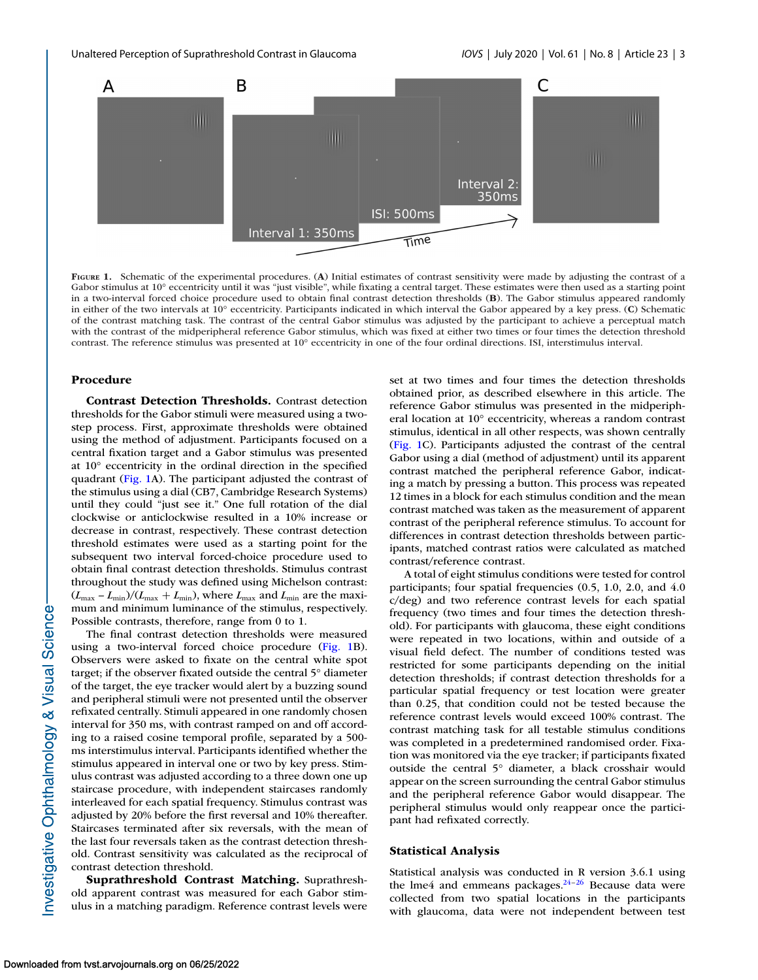

FIGURE 1. Schematic of the experimental procedures. (A) Initial estimates of contrast sensitivity were made by adjusting the contrast of a Gabor stimulus at 10° eccentricity until it was "just visible", while fixating a central target. These estimates were then used as a starting point in a two-interval forced choice procedure used to obtain final contrast detection thresholds (**B**). The Gabor stimulus appeared randomly in either of the two intervals at 10° eccentricity. Participants indicated in which interval the Gabor appeared by a key press. (**C**) Schematic of the contrast matching task. The contrast of the central Gabor stimulus was adjusted by the participant to achieve a perceptual match with the contrast of the midperipheral reference Gabor stimulus, which was fixed at either two times or four times the detection threshold contrast. The reference stimulus was presented at 10° eccentricity in one of the four ordinal directions. ISI, interstimulus interval.

## **Procedure**

**Contrast Detection Thresholds.** Contrast detection thresholds for the Gabor stimuli were measured using a twostep process. First, approximate thresholds were obtained using the method of adjustment. Participants focused on a central fixation target and a Gabor stimulus was presented at 10° eccentricity in the ordinal direction in the specified quadrant (Fig. 1A). The participant adjusted the contrast of the stimulus using a dial (CB7, Cambridge Research Systems) until they could "just see it." One full rotation of the dial clockwise or anticlockwise resulted in a 10% increase or decrease in contrast, respectively. These contrast detection threshold estimates were used as a starting point for the subsequent two interval forced-choice procedure used to obtain final contrast detection thresholds. Stimulus contrast throughout the study was defined using Michelson contrast:  $(L_{\text{max}} - L_{\text{min}})/(L_{\text{max}} + L_{\text{min}})$ , where  $L_{\text{max}}$  and  $L_{\text{min}}$  are the maximum and minimum luminance of the stimulus, respectively. Possible contrasts, therefore, range from 0 to 1.

The final contrast detection thresholds were measured using a two-interval forced choice procedure (Fig. 1B). Observers were asked to fixate on the central white spot target; if the observer fixated outside the central 5° diameter of the target, the eye tracker would alert by a buzzing sound and peripheral stimuli were not presented until the observer refixated centrally. Stimuli appeared in one randomly chosen interval for 350 ms, with contrast ramped on and off according to a raised cosine temporal profile, separated by a 500 ms interstimulus interval. Participants identified whether the stimulus appeared in interval one or two by key press. Stimulus contrast was adjusted according to a three down one up staircase procedure, with independent staircases randomly interleaved for each spatial frequency. Stimulus contrast was adjusted by 20% before the first reversal and 10% thereafter. Staircases terminated after six reversals, with the mean of the last four reversals taken as the contrast detection threshold. Contrast sensitivity was calculated as the reciprocal of contrast detection threshold.

**Suprathreshold Contrast Matching.** Suprathreshold apparent contrast was measured for each Gabor stimulus in a matching paradigm. Reference contrast levels were set at two times and four times the detection thresholds obtained prior, as described elsewhere in this article. The reference Gabor stimulus was presented in the midperipheral location at 10° eccentricity, whereas a random contrast stimulus, identical in all other respects, was shown centrally (Fig. 1C). Participants adjusted the contrast of the central Gabor using a dial (method of adjustment) until its apparent contrast matched the peripheral reference Gabor, indicating a match by pressing a button. This process was repeated 12 times in a block for each stimulus condition and the mean contrast matched was taken as the measurement of apparent contrast of the peripheral reference stimulus. To account for differences in contrast detection thresholds between participants, matched contrast ratios were calculated as matched contrast/reference contrast.

A total of eight stimulus conditions were tested for control participants; four spatial frequencies (0.5, 1.0, 2.0, and 4.0 c/deg) and two reference contrast levels for each spatial frequency (two times and four times the detection threshold). For participants with glaucoma, these eight conditions were repeated in two locations, within and outside of a visual field defect. The number of conditions tested was restricted for some participants depending on the initial detection thresholds; if contrast detection thresholds for a particular spatial frequency or test location were greater than 0.25, that condition could not be tested because the reference contrast levels would exceed 100% contrast. The contrast matching task for all testable stimulus conditions was completed in a predetermined randomised order. Fixation was monitored via the eye tracker; if participants fixated outside the central 5° diameter, a black crosshair would appear on the screen surrounding the central Gabor stimulus and the peripheral reference Gabor would disappear. The peripheral stimulus would only reappear once the participant had refixated correctly.

#### **Statistical Analysis**

Statistical analysis was conducted in R version 3.6.1 using the lme4 and emmeans packages. $24-26$  Because data were collected from two spatial locations in the participants with glaucoma, data were not independent between test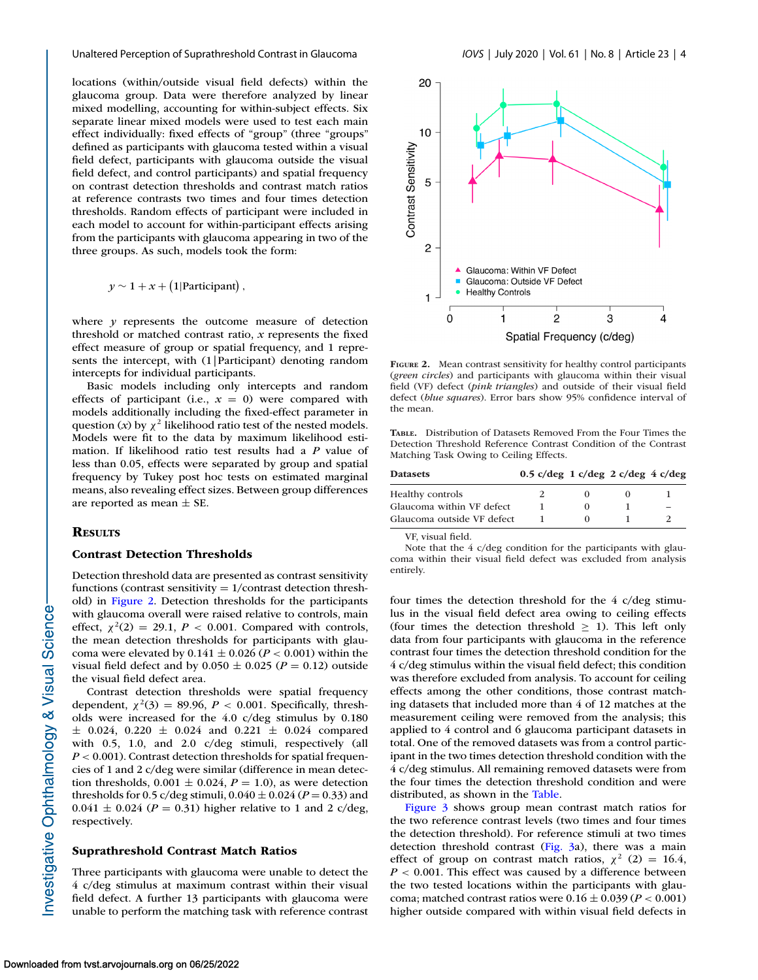<span id="page-3-0"></span>Unaltered Perception of Suprathreshold Contrast in Glaucoma *IOVS* | July 2020 | Vol. 61 | No. 8 | Article 23 | 4

locations (within/outside visual field defects) within the glaucoma group. Data were therefore analyzed by linear mixed modelling, accounting for within-subject effects. Six separate linear mixed models were used to test each main effect individually: fixed effects of "group" (three "groups" defined as participants with glaucoma tested within a visual field defect, participants with glaucoma outside the visual field defect, and control participants) and spatial frequency on contrast detection thresholds and contrast match ratios at reference contrasts two times and four times detection thresholds. Random effects of participant were included in each model to account for within-participant effects arising from the participants with glaucoma appearing in two of the three groups. As such, models took the form:

# $y \sim 1 + x + (1$ |Participant),

where  $\gamma$  represents the outcome measure of detection threshold or matched contrast ratio, *x* represents the fixed effect measure of group or spatial frequency, and 1 represents the intercept, with (1|Participant) denoting random intercepts for individual participants.

Basic models including only intercepts and random effects of participant (i.e.,  $x = 0$ ) were compared with models additionally including the fixed-effect parameter in question  $(x)$  by  $\chi^2$  likelihood ratio test of the nested models. Models were fit to the data by maximum likelihood estimation. If likelihood ratio test results had a *P* value of less than 0.05, effects were separated by group and spatial frequency by Tukey post hoc tests on estimated marginal means, also revealing effect sizes. Between group differences are reported as mean  $\pm$  SE.

### **RESULTS**

## **Contrast Detection Thresholds**

Detection threshold data are presented as contrast sensitivity functions (contrast sensitivity  $= 1$ /contrast detection threshold) in Figure 2. Detection thresholds for the participants with glaucoma overall were raised relative to controls, main effect,  $\chi^2(2) = 29.1$ ,  $P < 0.001$ . Compared with controls, the mean detection thresholds for participants with glaucoma were elevated by  $0.141 \pm 0.026$  ( $P < 0.001$ ) within the visual field defect and by  $0.050 \pm 0.025$  ( $P = 0.12$ ) outside the visual field defect area.

Contrast detection thresholds were spatial frequency dependent,  $\chi^2(3) = 89.96$ ,  $P < 0.001$ . Specifically, thresholds were increased for the 4.0 c/deg stimulus by 0.180  $\pm$  0.024, 0.220  $\pm$  0.024 and 0.221  $\pm$  0.024 compared with 0.5, 1.0, and 2.0 c/deg stimuli, respectively (all *P* < 0.001). Contrast detection thresholds for spatial frequencies of 1 and 2 c/deg were similar (difference in mean detection thresholds,  $0.001 \pm 0.024$ ,  $P = 1.0$ ), as were detection thresholds for 0.5 c/deg stimuli,  $0.040 \pm 0.024$  ( $P = 0.33$ ) and  $0.041 \pm 0.024$  ( $P = 0.31$ ) higher relative to 1 and 2 c/deg, respectively.

# **Suprathreshold Contrast Match Ratios**

Three participants with glaucoma were unable to detect the 4 c/deg stimulus at maximum contrast within their visual field defect. A further 13 participants with glaucoma were unable to perform the matching task with reference contrast



**FIGURE 2.** Mean contrast sensitivity for healthy control participants (*green circles*) and participants with glaucoma within their visual field (VF) defect (*pink triangles*) and outside of their visual field defect (*blue squares*). Error bars show 95% confidence interval of the mean.

**TABLE.** Distribution of Datasets Removed From the Four Times the Detection Threshold Reference Contrast Condition of the Contrast Matching Task Owing to Ceiling Effects.

| <b>Datasets</b>            | 0.5 c/deg 1 c/deg 2 c/deg $4 \text{ c/deg}$ |  |  |
|----------------------------|---------------------------------------------|--|--|
| <b>Healthy controls</b>    |                                             |  |  |
| Glaucoma within VF defect  |                                             |  |  |
| Glaucoma outside VF defect |                                             |  |  |

VF, visual field.

Note that the 4 c/deg condition for the participants with glaucoma within their visual field defect was excluded from analysis entirely.

four times the detection threshold for the 4 c/deg stimulus in the visual field defect area owing to ceiling effects (four times the detection threshold  $\geq$  1). This left only data from four participants with glaucoma in the reference contrast four times the detection threshold condition for the 4 c/deg stimulus within the visual field defect; this condition was therefore excluded from analysis. To account for ceiling effects among the other conditions, those contrast matching datasets that included more than 4 of 12 matches at the measurement ceiling were removed from the analysis; this applied to 4 control and 6 glaucoma participant datasets in total. One of the removed datasets was from a control participant in the two times detection threshold condition with the 4 c/deg stimulus. All remaining removed datasets were from the four times the detection threshold condition and were distributed, as shown in the Table.

[Figure 3](#page-4-0) shows group mean contrast match ratios for the two reference contrast levels (two times and four times the detection threshold). For reference stimuli at two times detection threshold contrast [\(Fig. 3a](#page-4-0)), there was a main effect of group on contrast match ratios,  $\chi^2$  (2) = 16.4, *P* < 0.001. This effect was caused by a difference between the two tested locations within the participants with glaucoma; matched contrast ratios were  $0.16 \pm 0.039$  ( $P < 0.001$ ) higher outside compared with within visual field defects in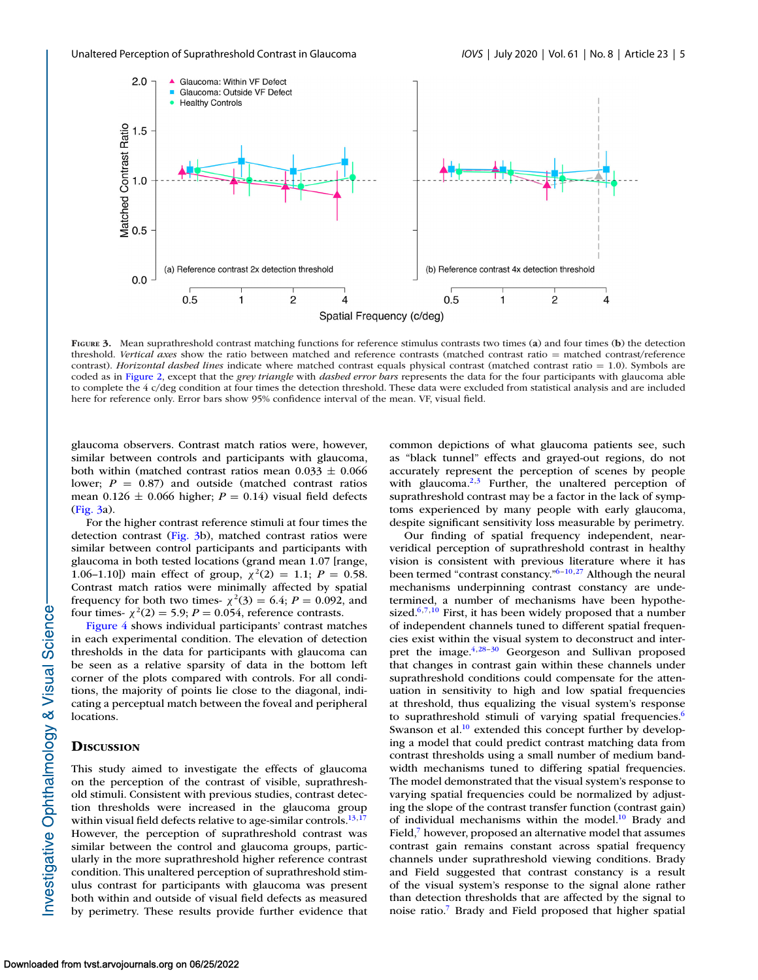<span id="page-4-0"></span>

**FIGURE 3.** Mean suprathreshold contrast matching functions for reference stimulus contrasts two times (**a**) and four times (**b**) the detection threshold. *Vertical axes* show the ratio between matched and reference contrasts (matched contrast ratio = matched contrast/reference contrast). *Horizontal dashed lines* indicate where matched contrast equals physical contrast (matched contrast ratio = 1.0). Symbols are coded as in [Figure 2,](#page-3-0) except that the *grey triangle* with *dashed error bars* represents the data for the four participants with glaucoma able to complete the 4 c/deg condition at four times the detection threshold. These data were excluded from statistical analysis and are included here for reference only. Error bars show 95% confidence interval of the mean. VF, visual field.

glaucoma observers. Contrast match ratios were, however, similar between controls and participants with glaucoma, both within (matched contrast ratios mean  $0.033 \pm 0.066$ lower;  $P = 0.87$ ) and outside (matched contrast ratios mean  $0.126 \pm 0.066$  higher;  $P = 0.14$ ) visual field defects (Fig. 3a).

For the higher contrast reference stimuli at four times the detection contrast (Fig. 3b), matched contrast ratios were similar between control participants and participants with glaucoma in both tested locations (grand mean 1.07 [range, 1.06–1.10]) main effect of group,  $\chi^2(2) = 1.1$ ;  $P = 0.58$ . Contrast match ratios were minimally affected by spatial frequency for both two times-  $\chi^2(3) = 6.4$ ;  $P = 0.092$ , and four times-  $\chi^2(2) = 5.9$ ;  $P = 0.054$ , reference contrasts.

[Figure 4](#page-5-0) shows individual participants' contrast matches in each experimental condition. The elevation of detection thresholds in the data for participants with glaucoma can be seen as a relative sparsity of data in the bottom left corner of the plots compared with controls. For all conditions, the majority of points lie close to the diagonal, indicating a perceptual match between the foveal and peripheral locations.

# **DISCUSSION**

This study aimed to investigate the effects of glaucoma on the perception of the contrast of visible, suprathreshold stimuli. Consistent with previous studies, contrast detection thresholds were increased in the glaucoma group within visual field defects relative to age-similar controls. $13,17$ However, the perception of suprathreshold contrast was similar between the control and glaucoma groups, particularly in the more suprathreshold higher reference contrast condition. This unaltered perception of suprathreshold stimulus contrast for participants with glaucoma was present both within and outside of visual field defects as measured by perimetry. These results provide further evidence that

common depictions of what glaucoma patients see, such as "black tunnel" effects and grayed-out regions, do not accurately represent the perception of scenes by people with glaucoma. $2,3$  Further, the unaltered perception of suprathreshold contrast may be a factor in the lack of symptoms experienced by many people with early glaucoma, despite significant sensitivity loss measurable by perimetry.

Our finding of spatial frequency independent, nearveridical perception of suprathreshold contrast in healthy vision is consistent with previous literature where it has been termed "contrast constancy.<sup>"6-10,[27](#page-7-0)</sup> Although the neural mechanisms underpinning contrast constancy are undetermined, a number of mechanisms have been hypothesized. $6,7,10$  First, it has been widely proposed that a number of independent channels tuned to different spatial frequencies exist within the visual system to deconstruct and inter-pret the image.<sup>4[,28–30](#page-7-0)</sup> Georgeson and Sullivan proposed that changes in contrast gain within these channels under suprathreshold conditions could compensate for the attenuation in sensitivity to high and low spatial frequencies at threshold, thus equalizing the visual system's response to suprathreshold stimuli of varying spatial frequencies.<sup>6</sup> Swanson et al.<sup>10</sup> extended this concept further by developing a model that could predict contrast matching data from contrast thresholds using a small number of medium bandwidth mechanisms tuned to differing spatial frequencies. The model demonstrated that the visual system's response to varying spatial frequencies could be normalized by adjusting the slope of the contrast transfer function (contrast gain) of individual mechanisms within the model.<sup>10</sup> Brady and Field,<sup>7</sup> however, proposed an alternative model that assumes contrast gain remains constant across spatial frequency channels under suprathreshold viewing conditions. Brady and Field suggested that contrast constancy is a result of the visual system's response to the signal alone rather than detection thresholds that are affected by the signal to noise ratio[.7](#page-6-0) Brady and Field proposed that higher spatial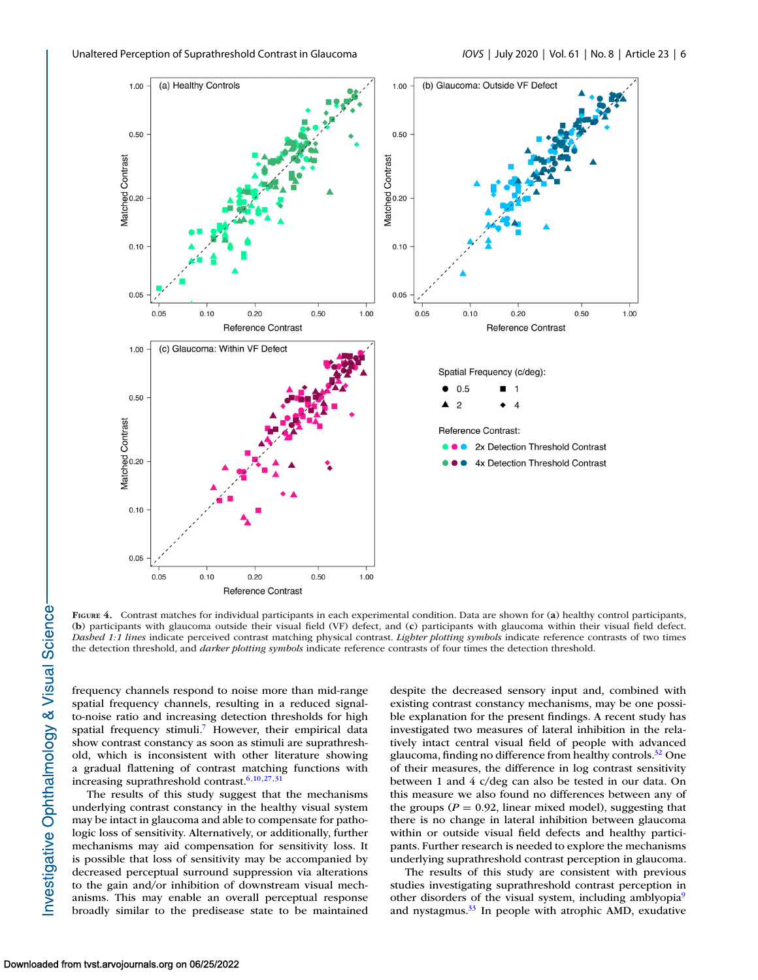<span id="page-5-0"></span>

**FIGURE 4.** Contrast matches for individual participants in each experimental condition. Data are shown for (**a**) healthy control participants, (**b**) participants with glaucoma outside their visual field (VF) defect, and (**c**) participants with glaucoma within their visual field defect. *Dashed 1:1 lines* indicate perceived contrast matching physical contrast. *Lighter plotting symbols* indicate reference contrasts of two times the detection threshold, and *darker plotting symbols* indicate reference contrasts of four times the detection threshold.

frequency channels respond to noise more than mid-range spatial frequency channels, resulting in a reduced signalto-noise ratio and increasing detection thresholds for high spatial frequency stimuli.<sup>7</sup> However, their empirical data show contrast constancy as soon as stimuli are suprathreshold, which is inconsistent with other literature showing a gradual flattening of contrast matching functions with increasing suprathreshold contrast.<sup>6,10[,27,31](#page-7-0)</sup>

The results of this study suggest that the mechanisms underlying contrast constancy in the healthy visual system may be intact in glaucoma and able to compensate for pathologic loss of sensitivity. Alternatively, or additionally, further mechanisms may aid compensation for sensitivity loss. It is possible that loss of sensitivity may be accompanied by decreased perceptual surround suppression via alterations to the gain and/or inhibition of downstream visual mechanisms. This may enable an overall perceptual response broadly similar to the predisease state to be maintained despite the decreased sensory input and, combined with existing contrast constancy mechanisms, may be one possible explanation for the present findings. A recent study has investigated two measures of lateral inhibition in the relatively intact central visual field of people with advanced glaucoma, finding no difference from healthy controls. $32$  One of their measures, the difference in log contrast sensitivity between 1 and 4 c/deg can also be tested in our data. On this measure we also found no differences between any of the groups ( $P = 0.92$ , linear mixed model), suggesting that there is no change in lateral inhibition between glaucoma within or outside visual field defects and healthy participants. Further research is needed to explore the mechanisms underlying suprathreshold contrast perception in glaucoma.

The results of this study are consistent with previous studies investigating suprathreshold contrast perception in other disorders of the visual system, including amblyopia<sup>9</sup> and nystagmus. $33$  In people with atrophic AMD, exudative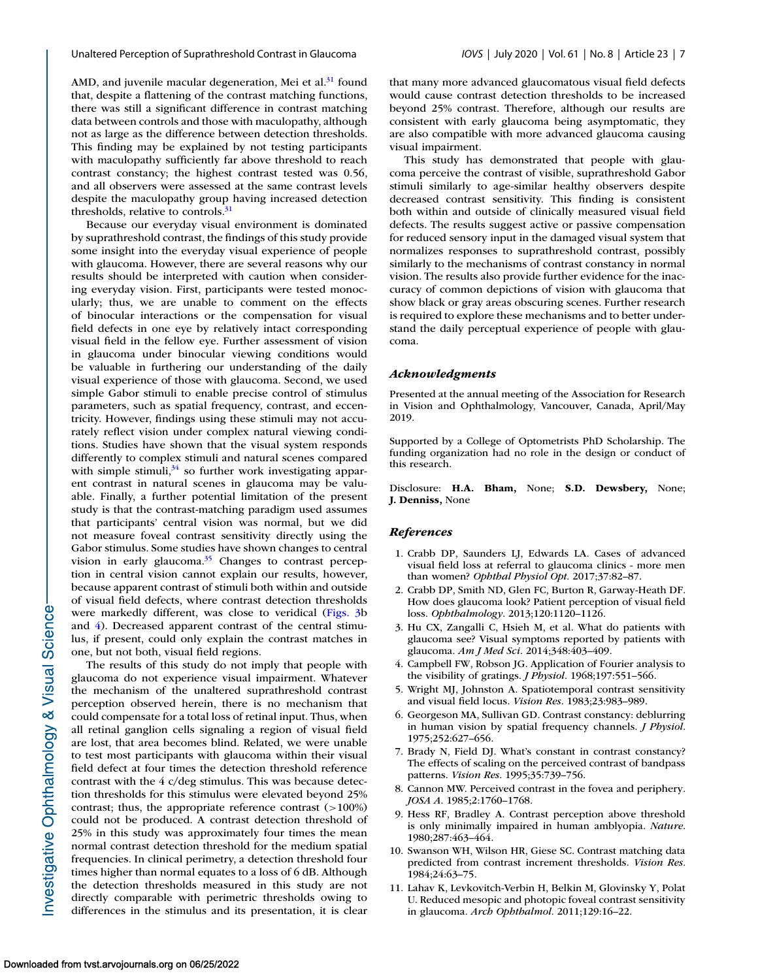<span id="page-6-0"></span>AMD, and juvenile macular degeneration, Mei et al.<sup>31</sup> found that, despite a flattening of the contrast matching functions, there was still a significant difference in contrast matching data between controls and those with maculopathy, although not as large as the difference between detection thresholds. This finding may be explained by not testing participants with maculopathy sufficiently far above threshold to reach contrast constancy; the highest contrast tested was 0.56, and all observers were assessed at the same contrast levels despite the maculopathy group having increased detection thresholds, relative to controls.<sup>31</sup>

Because our everyday visual environment is dominated by suprathreshold contrast, the findings of this study provide some insight into the everyday visual experience of people with glaucoma. However, there are several reasons why our results should be interpreted with caution when considering everyday vision. First, participants were tested monocularly; thus, we are unable to comment on the effects of binocular interactions or the compensation for visual field defects in one eye by relatively intact corresponding visual field in the fellow eye. Further assessment of vision in glaucoma under binocular viewing conditions would be valuable in furthering our understanding of the daily visual experience of those with glaucoma. Second, we used simple Gabor stimuli to enable precise control of stimulus parameters, such as spatial frequency, contrast, and eccentricity. However, findings using these stimuli may not accurately reflect vision under complex natural viewing conditions. Studies have shown that the visual system responds differently to complex stimuli and natural scenes compared with simple stimuli, $34$  so further work investigating apparent contrast in natural scenes in glaucoma may be valuable. Finally, a further potential limitation of the present study is that the contrast-matching paradigm used assumes that participants' central vision was normal, but we did not measure foveal contrast sensitivity directly using the Gabor stimulus. Some studies have shown changes to central vision in early glaucoma. $35$  Changes to contrast perception in central vision cannot explain our results, however, because apparent contrast of stimuli both within and outside of visual field defects, where contrast detection thresholds were markedly different, was close to veridical [\(Figs. 3b](#page-4-0) and [4\)](#page-5-0). Decreased apparent contrast of the central stimulus, if present, could only explain the contrast matches in one, but not both, visual field regions.

The results of this study do not imply that people with glaucoma do not experience visual impairment. Whatever the mechanism of the unaltered suprathreshold contrast perception observed herein, there is no mechanism that could compensate for a total loss of retinal input. Thus, when all retinal ganglion cells signaling a region of visual field are lost, that area becomes blind. Related, we were unable to test most participants with glaucoma within their visual field defect at four times the detection threshold reference contrast with the 4 c/deg stimulus. This was because detection thresholds for this stimulus were elevated beyond 25% contrast; thus, the appropriate reference contrast (>100%) could not be produced. A contrast detection threshold of 25% in this study was approximately four times the mean normal contrast detection threshold for the medium spatial frequencies. In clinical perimetry, a detection threshold four times higher than normal equates to a loss of 6 dB. Although the detection thresholds measured in this study are not directly comparable with perimetric thresholds owing to differences in the stimulus and its presentation, it is clear

that many more advanced glaucomatous visual field defects would cause contrast detection thresholds to be increased beyond 25% contrast. Therefore, although our results are consistent with early glaucoma being asymptomatic, they are also compatible with more advanced glaucoma causing visual impairment.

This study has demonstrated that people with glaucoma perceive the contrast of visible, suprathreshold Gabor stimuli similarly to age-similar healthy observers despite decreased contrast sensitivity. This finding is consistent both within and outside of clinically measured visual field defects. The results suggest active or passive compensation for reduced sensory input in the damaged visual system that normalizes responses to suprathreshold contrast, possibly similarly to the mechanisms of contrast constancy in normal vision. The results also provide further evidence for the inaccuracy of common depictions of vision with glaucoma that show black or gray areas obscuring scenes. Further research is required to explore these mechanisms and to better understand the daily perceptual experience of people with glaucoma.

#### *Acknowledgments*

Presented at the annual meeting of the Association for Research in Vision and Ophthalmology, Vancouver, Canada, April/May 2019.

Supported by a College of Optometrists PhD Scholarship. The funding organization had no role in the design or conduct of this research.

Disclosure: **H.A. Bham,** None; **S.D. Dewsbery,** None; **J. Denniss,** None

### *References*

- 1. Crabb DP, Saunders LJ, Edwards LA. Cases of advanced visual field loss at referral to glaucoma clinics - more men than women? *Ophthal Physiol Opt*. 2017;37:82–87.
- 2. Crabb DP, Smith ND, Glen FC, Burton R, Garway-Heath DF. How does glaucoma look? Patient perception of visual field loss. *Ophthalmology*. 2013;120:1120–1126.
- 3. Hu CX, Zangalli C, Hsieh M, et al. What do patients with glaucoma see? Visual symptoms reported by patients with glaucoma. *Am J Med Sci*. 2014;348:403–409.
- 4. Campbell FW, Robson JG. Application of Fourier analysis to the visibility of gratings. *J Physiol*. 1968;197:551–566.
- 5. Wright MJ, Johnston A. Spatiotemporal contrast sensitivity and visual field locus. *Vision Res*. 1983;23:983–989.
- 6. Georgeson MA, Sullivan GD. Contrast constancy: deblurring in human vision by spatial frequency channels. *J Physiol*. 1975;252:627–656.
- 7. Brady N, Field DJ. What's constant in contrast constancy? The effects of scaling on the perceived contrast of bandpass patterns. *Vision Res*. 1995;35:739–756.
- 8. Cannon MW. Perceived contrast in the fovea and periphery. *JOSA A*. 1985;2:1760–1768.
- 9. Hess RF, Bradley A. Contrast perception above threshold is only minimally impaired in human amblyopia. *Nature*. 1980;287:463–464.
- 10. Swanson WH, Wilson HR, Giese SC. Contrast matching data predicted from contrast increment thresholds. *Vision Res*. 1984;24:63–75.
- 11. Lahav K, Levkovitch-Verbin H, Belkin M, Glovinsky Y, Polat U. Reduced mesopic and photopic foveal contrast sensitivity in glaucoma. *Arch Ophthalmol*. 2011;129:16–22.